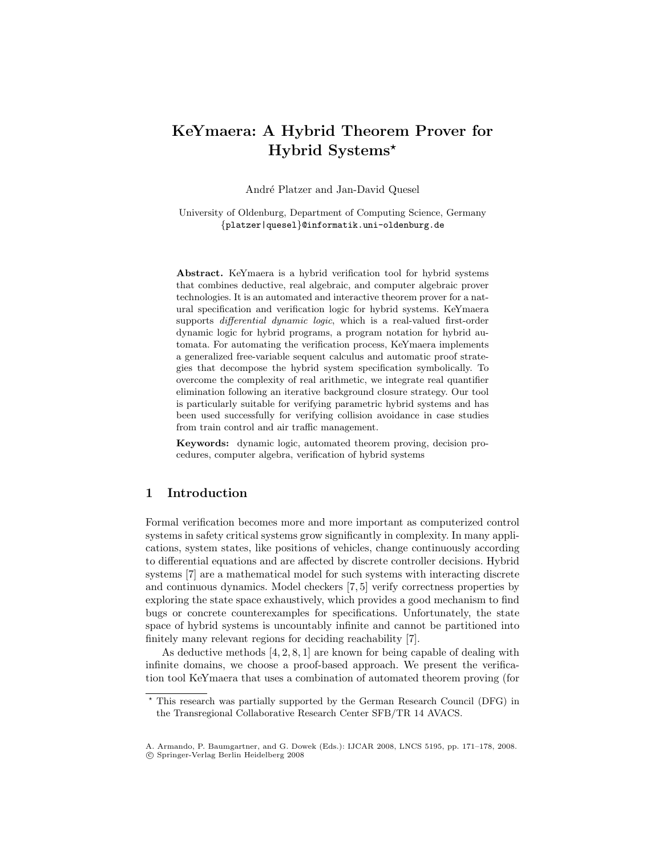# KeYmaera: A Hybrid Theorem Prover for Hybrid Systems?

André Platzer and Jan-David Quesel

University of Oldenburg, Department of Computing Science, Germany {platzer|quesel}@informatik.uni-oldenburg.de

Abstract. KeYmaera is a hybrid verification tool for hybrid systems that combines deductive, real algebraic, and computer algebraic prover technologies. It is an automated and interactive theorem prover for a natural specification and verification logic for hybrid systems. KeYmaera supports *differential dynamic logic*, which is a real-valued first-order dynamic logic for hybrid programs, a program notation for hybrid automata. For automating the verification process, KeYmaera implements a generalized free-variable sequent calculus and automatic proof strategies that decompose the hybrid system specification symbolically. To overcome the complexity of real arithmetic, we integrate real quantifier elimination following an iterative background closure strategy. Our tool is particularly suitable for verifying parametric hybrid systems and has been used successfully for verifying collision avoidance in case studies from train control and air traffic management.

Keywords: dynamic logic, automated theorem proving, decision procedures, computer algebra, verification of hybrid systems

# 1 Introduction

Formal verification becomes more and more important as computerized control systems in safety critical systems grow significantly in complexity. In many applications, system states, like positions of vehicles, change continuously according to differential equations and are affected by discrete controller decisions. Hybrid systems [7] are a mathematical model for such systems with interacting discrete and continuous dynamics. Model checkers [7, 5] verify correctness properties by exploring the state space exhaustively, which provides a good mechanism to find bugs or concrete counterexamples for specifications. Unfortunately, the state space of hybrid systems is uncountably infinite and cannot be partitioned into finitely many relevant regions for deciding reachability [7].

As deductive methods [4, 2, 8, 1] are known for being capable of dealing with infinite domains, we choose a proof-based approach. We present the verification tool KeYmaera that uses a combination of automated theorem proving (for

<sup>?</sup> This research was partially supported by the German Research Council (DFG) in the Transregional Collaborative Research Center SFB/TR 14 AVACS.

A. Armando, P. Baumgartner, and G. Dowek (Eds.): IJCAR 2008, LNCS 5195, pp. 171–178, 2008. c Springer-Verlag Berlin Heidelberg 2008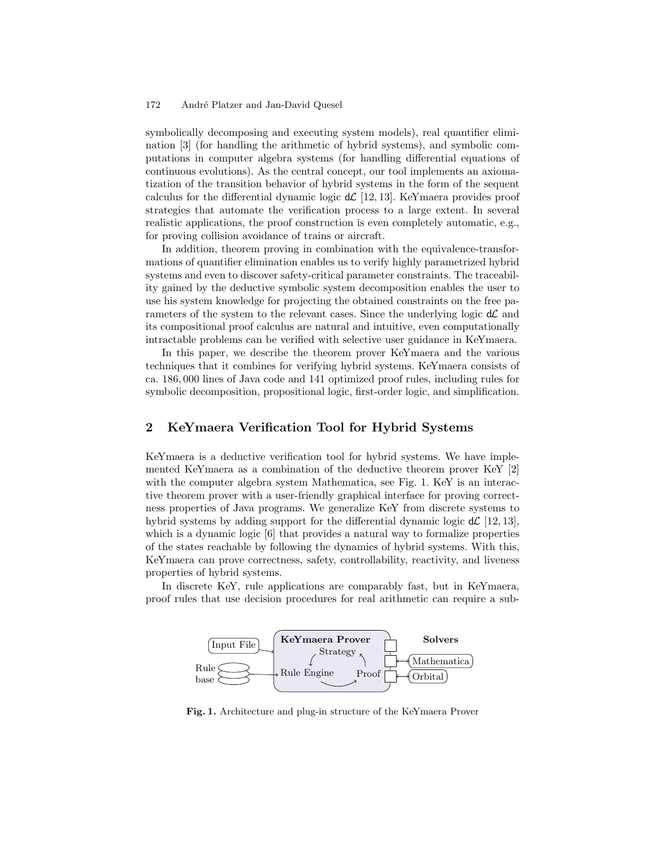#### 172 André Platzer and Jan-David Quesel

symbolically decomposing and executing system models), real quantifier elimination [3] (for handling the arithmetic of hybrid systems), and symbolic computations in computer algebra systems (for handling differential equations of continuous evolutions). As the central concept, our tool implements an axiomatization of the transition behavior of hybrid systems in the form of the sequent calculus for the differential dynamic logic  $d\mathcal{L}$  [12, 13]. KeYmaera provides proof strategies that automate the verification process to a large extent. In several realistic applications, the proof construction is even completely automatic, e.g., for proving collision avoidance of trains or aircraft.

In addition, theorem proving in combination with the equivalence-transformations of quantifier elimination enables us to verify highly parametrized hybrid systems and even to discover safety-critical parameter constraints. The traceability gained by the deductive symbolic system decomposition enables the user to use his system knowledge for projecting the obtained constraints on the free parameters of the system to the relevant cases. Since the underlying logic  $d\mathcal{L}$  and its compositional proof calculus are natural and intuitive, even computationally intractable problems can be verified with selective user guidance in KeYmaera.

In this paper, we describe the theorem prover KeYmaera and the various techniques that it combines for verifying hybrid systems. KeYmaera consists of ca. 186, 000 lines of Java code and 141 optimized proof rules, including rules for symbolic decomposition, propositional logic, first-order logic, and simplification.

# 2 KeYmaera Verification Tool for Hybrid Systems

KeYmaera is a deductive verification tool for hybrid systems. We have implemented KeYmaera as a combination of the deductive theorem prover KeY [2] with the computer algebra system Mathematica, see Fig. 1. KeY is an interactive theorem prover with a user-friendly graphical interface for proving correctness properties of Java programs. We generalize KeY from discrete systems to hybrid systems by adding support for the differential dynamic logic  $d\mathcal{L}$  [12, 13], which is a dynamic logic  $[6]$  that provides a natural way to formalize properties of the states reachable by following the dynamics of hybrid systems. With this, KeYmaera can prove correctness, safety, controllability, reactivity, and liveness properties of hybrid systems.

In discrete KeY, rule applications are comparably fast, but in KeYmaera, proof rules that use decision procedures for real arithmetic can require a sub-



Fig. 1. Architecture and plug-in structure of the KeYmaera Prover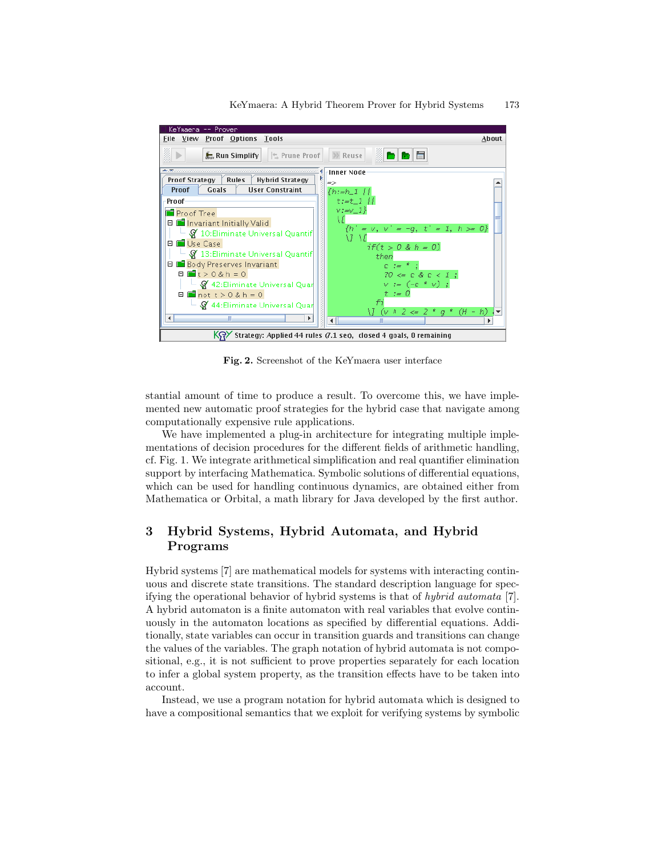

Fig. 2. Screenshot of the KeYmaera user interface

stantial amount of time to produce a result. To overcome this, we have implemented new automatic proof strategies for the hybrid case that navigate among computationally expensive rule applications.

We have implemented a plug-in architecture for integrating multiple implementations of decision procedures for the different fields of arithmetic handling, cf. Fig. 1. We integrate arithmetical simplification and real quantifier elimination support by interfacing Mathematica. Symbolic solutions of differential equations, which can be used for handling continuous dynamics, are obtained either from Mathematica or Orbital, a math library for Java developed by the first author.

# 3 Hybrid Systems, Hybrid Automata, and Hybrid Programs

Hybrid systems [7] are mathematical models for systems with interacting continuous and discrete state transitions. The standard description language for specifying the operational behavior of hybrid systems is that of hybrid automata [7]. A hybrid automaton is a finite automaton with real variables that evolve continuously in the automaton locations as specified by differential equations. Additionally, state variables can occur in transition guards and transitions can change the values of the variables. The graph notation of hybrid automata is not compositional, e.g., it is not sufficient to prove properties separately for each location to infer a global system property, as the transition effects have to be taken into account.

Instead, we use a program notation for hybrid automata which is designed to have a compositional semantics that we exploit for verifying systems by symbolic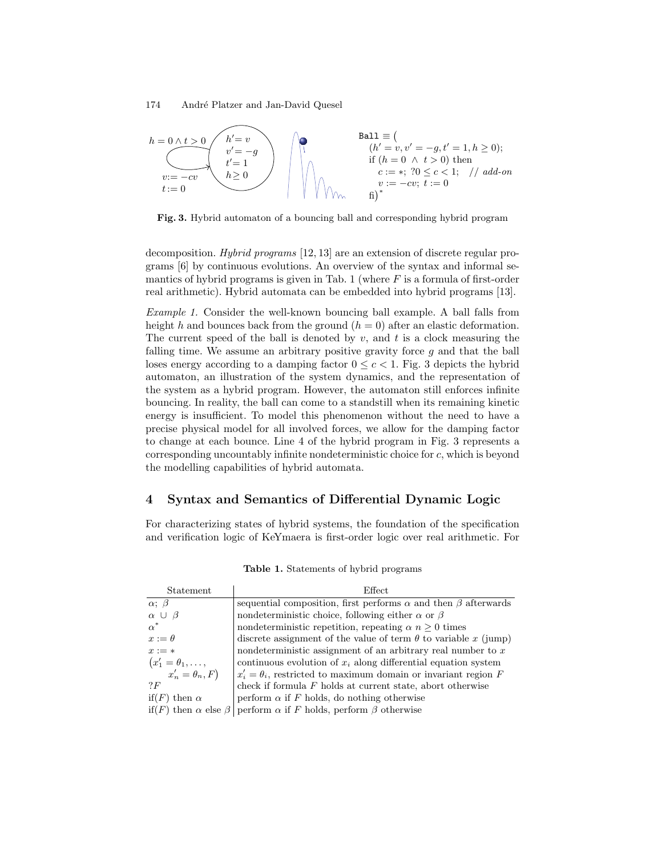#### 174 André Platzer and Jan-David Quesel



Fig. 3. Hybrid automaton of a bouncing ball and corresponding hybrid program

decomposition. Hybrid programs [12, 13] are an extension of discrete regular programs [6] by continuous evolutions. An overview of the syntax and informal semantics of hybrid programs is given in Tab. 1 (where  $F$  is a formula of first-order real arithmetic). Hybrid automata can be embedded into hybrid programs [13].

Example 1. Consider the well-known bouncing ball example. A ball falls from height h and bounces back from the ground  $(h = 0)$  after an elastic deformation. The current speed of the ball is denoted by  $v$ , and  $t$  is a clock measuring the falling time. We assume an arbitrary positive gravity force  $g$  and that the ball loses energy according to a damping factor  $0 \leq c < 1$ . Fig. 3 depicts the hybrid automaton, an illustration of the system dynamics, and the representation of the system as a hybrid program. However, the automaton still enforces infinite bouncing. In reality, the ball can come to a standstill when its remaining kinetic energy is insufficient. To model this phenomenon without the need to have a precise physical model for all involved forces, we allow for the damping factor to change at each bounce. Line 4 of the hybrid program in Fig. 3 represents a corresponding uncountably infinite nondeterministic choice for c, which is beyond the modelling capabilities of hybrid automata.

## 4 Syntax and Semantics of Differential Dynamic Logic

For characterizing states of hybrid systems, the foundation of the specification and verification logic of KeYmaera is first-order logic over real arithmetic. For

| Statement                        | Effect                                                                      |
|----------------------------------|-----------------------------------------------------------------------------|
| $\alpha$ ; $\beta$               | sequential composition, first performs $\alpha$ and then $\beta$ afterwards |
| $\alpha \cup \beta$              | nondeterministic choice, following either $\alpha$ or $\beta$               |
| $\alpha^*$                       | nondeterministic repetition, repeating $\alpha$ $n \geq 0$ times            |
| $x := \theta$                    | discrete assignment of the value of term $\theta$ to variable x (jump)      |
| $x := *$                         | nondeterministic assignment of an arbitrary real number to $x$              |
| $(x'_1 = \theta_1, \ldots,$      | continuous evolution of $x_i$ along differential equation system            |
| $x'_n = \theta_n, F$             | $x_i' = \theta_i$ , restricted to maximum domain or invariant region F      |
| ? F                              | check if formula $F$ holds at current state, abort otherwise                |
| if(F) then $\alpha$              | perform $\alpha$ if F holds, do nothing otherwise                           |
| if(F) then $\alpha$ else $\beta$ | perform $\alpha$ if F holds, perform $\beta$ otherwise                      |

Table 1. Statements of hybrid programs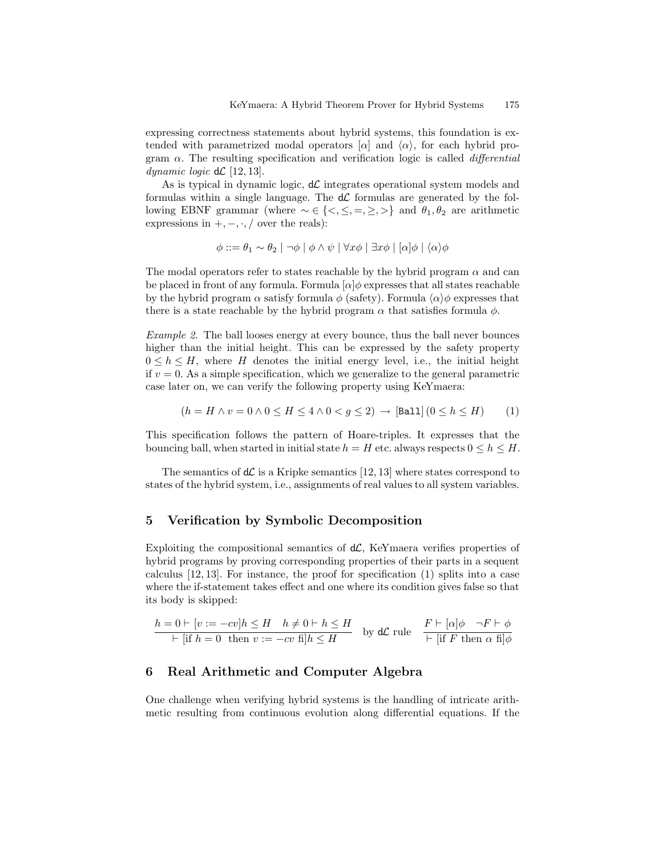expressing correctness statements about hybrid systems, this foundation is extended with parametrized modal operators  $\alpha$  and  $\langle \alpha \rangle$ , for each hybrid program  $\alpha$ . The resulting specification and verification logic is called *differential* dynamic logic  $d\mathcal{L}$  [12, 13].

As is typical in dynamic logic,  $d\mathcal{L}$  integrates operational system models and formulas within a single language. The  $d\mathcal{L}$  formulas are generated by the following EBNF grammar (where  $\sim \in \{ \leq, \leq, =, \geq, \geq \}$  and  $\theta_1, \theta_2$  are arithmetic expressions in  $+,-,\cdot,/$  over the reals):

$$
\phi ::= \theta_1 \sim \theta_2 \mid \neg \phi \mid \phi \land \psi \mid \forall x \phi \mid \exists x \phi \mid [\alpha] \phi \mid \langle \alpha \rangle \phi
$$

The modal operators refer to states reachable by the hybrid program  $\alpha$  and can be placed in front of any formula. Formula  $\alpha | \phi$  expresses that all states reachable by the hybrid program  $\alpha$  satisfy formula  $\phi$  (safety). Formula  $\langle \alpha \rangle \phi$  expresses that there is a state reachable by the hybrid program  $\alpha$  that satisfies formula  $\phi$ .

Example 2. The ball looses energy at every bounce, thus the ball never bounces higher than the initial height. This can be expressed by the safety property  $0 \leq h \leq H$ , where H denotes the initial energy level, i.e., the initial height if  $v = 0$ . As a simple specification, which we generalize to the general parametric case later on, we can verify the following property using KeYmaera:

$$
(h = H \land v = 0 \land 0 \le H \le 4 \land 0 < g \le 2) \rightarrow \text{[Ball]} (0 \le h \le H) \tag{1}
$$

This specification follows the pattern of Hoare-triples. It expresses that the bouncing ball, when started in initial state  $h = H$  etc. always respects  $0 \leq h \leq H$ .

The semantics of  $d\mathcal{L}$  is a Kripke semantics [12, 13] where states correspond to states of the hybrid system, i.e., assignments of real values to all system variables.

### 5 Verification by Symbolic Decomposition

Exploiting the compositional semantics of  $d\mathcal{L}$ , KeYmaera verifies properties of hybrid programs by proving corresponding properties of their parts in a sequent calculus [12, 13]. For instance, the proof for specification (1) splits into a case where the if-statement takes effect and one where its condition gives false so that its body is skipped:

$$
\frac{h = 0 \vdash [v := -cv]h \le H \quad h \ne 0 \vdash h \le H}{\vdash [\text{if } h = 0 \text{ then } v := -cv \text{ fi}]h \le H} \quad \text{by dC rule} \quad \frac{F \vdash [\alpha]\phi \quad \neg F \vdash \phi}{\vdash [\text{if } F \text{ then } \alpha \text{ fi}] \phi}
$$

# 6 Real Arithmetic and Computer Algebra

One challenge when verifying hybrid systems is the handling of intricate arithmetic resulting from continuous evolution along differential equations. If the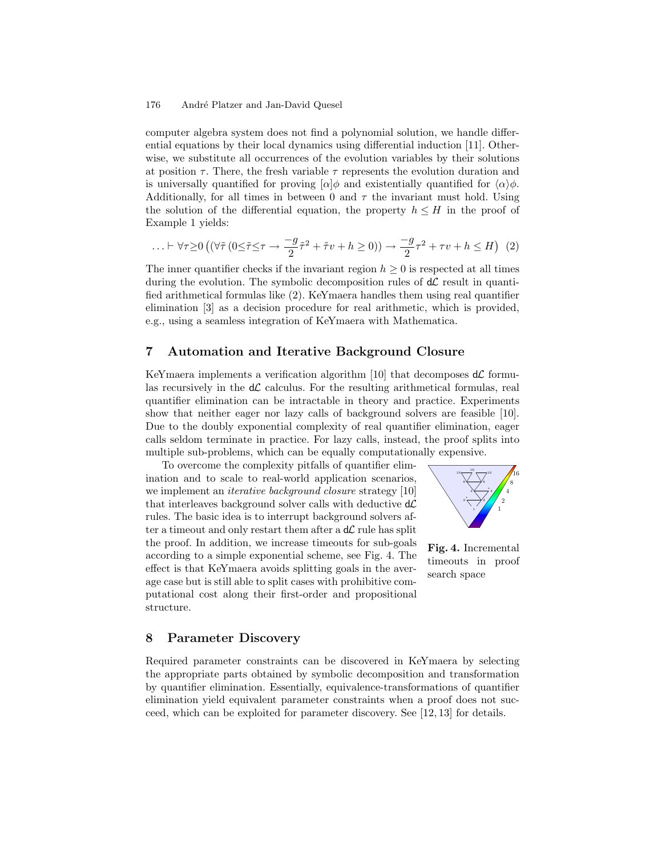#### 176 André Platzer and Jan-David Quesel

computer algebra system does not find a polynomial solution, we handle differential equations by their local dynamics using differential induction [11]. Otherwise, we substitute all occurrences of the evolution variables by their solutions at position  $\tau$ . There, the fresh variable  $\tau$  represents the evolution duration and is universally quantified for proving  $\alpha$  and existentially quantified for  $\langle \alpha \rangle \phi$ . Additionally, for all times in between 0 and  $\tau$  the invariant must hold. Using the solution of the differential equation, the property  $h \leq H$  in the proof of Example 1 yields:

...+ 
$$
\forall \tau \ge 0
$$
 ( $(\forall \tilde{\tau} (0 \le \tilde{\tau} \le \tau \rightarrow \frac{-g}{2} \tilde{\tau}^2 + \tilde{\tau} v + h \ge 0)) \rightarrow \frac{-g}{2} \tau^2 + \tau v + h \le H)$  (2)

The inner quantifier checks if the invariant region  $h \geq 0$  is respected at all times during the evolution. The symbolic decomposition rules of  $d\mathcal{L}$  result in quantified arithmetical formulas like (2). KeYmaera handles them using real quantifier elimination [3] as a decision procedure for real arithmetic, which is provided, e.g., using a seamless integration of KeYmaera with Mathematica.

### 7 Automation and Iterative Background Closure

KeYmaera implements a verification algorithm [10] that decomposes  $d\mathcal{L}$  formulas recursively in the  $d\mathcal{L}$  calculus. For the resulting arithmetical formulas, real quantifier elimination can be intractable in theory and practice. Experiments show that neither eager nor lazy calls of background solvers are feasible [10]. Due to the doubly exponential complexity of real quantifier elimination, eager calls seldom terminate in practice. For lazy calls, instead, the proof splits into multiple sub-problems, which can be equally computationally expensive.

To overcome the complexity pitfalls of quantifier elimination and to scale to real-world application scenarios, we implement an *iterative background closure* strategy [10] that interleaves background solver calls with deductive  $d\mathcal{L}$ rules. The basic idea is to interrupt background solvers after a timeout and only restart them after a  $d\mathcal{L}$  rule has split the proof. In addition, we increase timeouts for sub-goals according to a simple exponential scheme, see Fig. 4. The effect is that KeYmaera avoids splitting goals in the average case but is still able to split cases with prohibitive computational cost along their first-order and propositional structure.



Fig. 4. Incremental timeouts in proof search space

### 8 Parameter Discovery

Required parameter constraints can be discovered in KeYmaera by selecting the appropriate parts obtained by symbolic decomposition and transformation by quantifier elimination. Essentially, equivalence-transformations of quantifier elimination yield equivalent parameter constraints when a proof does not succeed, which can be exploited for parameter discovery. See [12, 13] for details.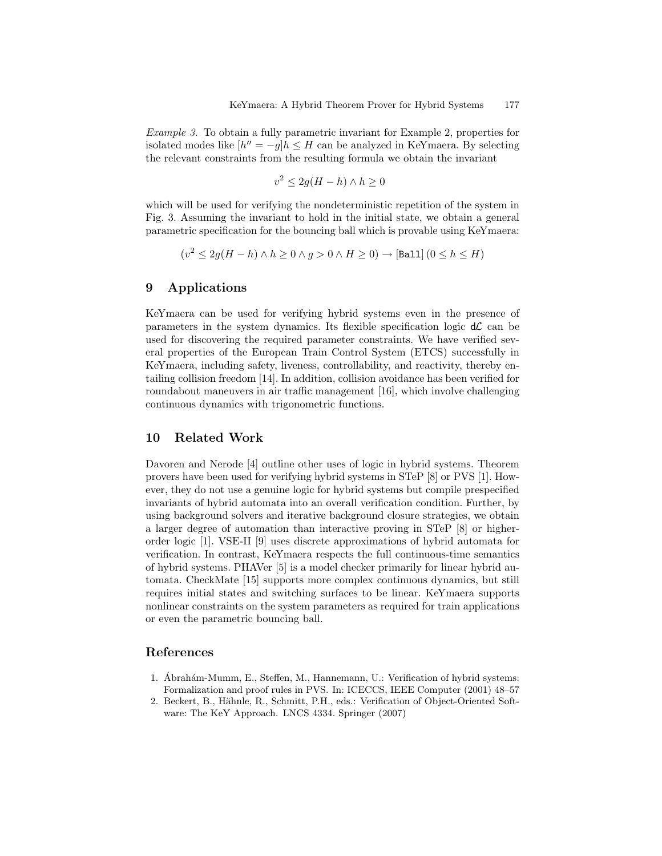Example 3. To obtain a fully parametric invariant for Example 2, properties for isolated modes like  $[h'' = -g]h \leq H$  can be analyzed in KeYmaera. By selecting the relevant constraints from the resulting formula we obtain the invariant

$$
v^2 \le 2g(H - h) \wedge h \ge 0
$$

which will be used for verifying the nondeterministic repetition of the system in Fig. 3. Assuming the invariant to hold in the initial state, we obtain a general parametric specification for the bouncing ball which is provable using KeYmaera:

$$
(v^2 \le 2g(H - h) \land h \ge 0 \land g > 0 \land H \ge 0) \rightarrow [Ball] (0 \le h \le H)
$$

# 9 Applications

KeYmaera can be used for verifying hybrid systems even in the presence of parameters in the system dynamics. Its flexible specification logic  $d\mathcal{L}$  can be used for discovering the required parameter constraints. We have verified several properties of the European Train Control System (ETCS) successfully in KeYmaera, including safety, liveness, controllability, and reactivity, thereby entailing collision freedom [14]. In addition, collision avoidance has been verified for roundabout maneuvers in air traffic management [16], which involve challenging continuous dynamics with trigonometric functions.

### 10 Related Work

Davoren and Nerode [4] outline other uses of logic in hybrid systems. Theorem provers have been used for verifying hybrid systems in STeP [8] or PVS [1]. However, they do not use a genuine logic for hybrid systems but compile prespecified invariants of hybrid automata into an overall verification condition. Further, by using background solvers and iterative background closure strategies, we obtain a larger degree of automation than interactive proving in STeP [8] or higherorder logic [1]. VSE-II [9] uses discrete approximations of hybrid automata for verification. In contrast, KeYmaera respects the full continuous-time semantics of hybrid systems. PHAVer [5] is a model checker primarily for linear hybrid automata. CheckMate [15] supports more complex continuous dynamics, but still requires initial states and switching surfaces to be linear. KeYmaera supports nonlinear constraints on the system parameters as required for train applications or even the parametric bouncing ball.

#### References

- 1. Ábrahám-Mumm, E., Steffen, M., Hannemann, U.: Verification of hybrid systems: Formalization and proof rules in PVS. In: ICECCS, IEEE Computer (2001) 48–57
- 2. Beckert, B., Hähnle, R., Schmitt, P.H., eds.: Verification of Object-Oriented Software: The KeY Approach. LNCS 4334. Springer (2007)